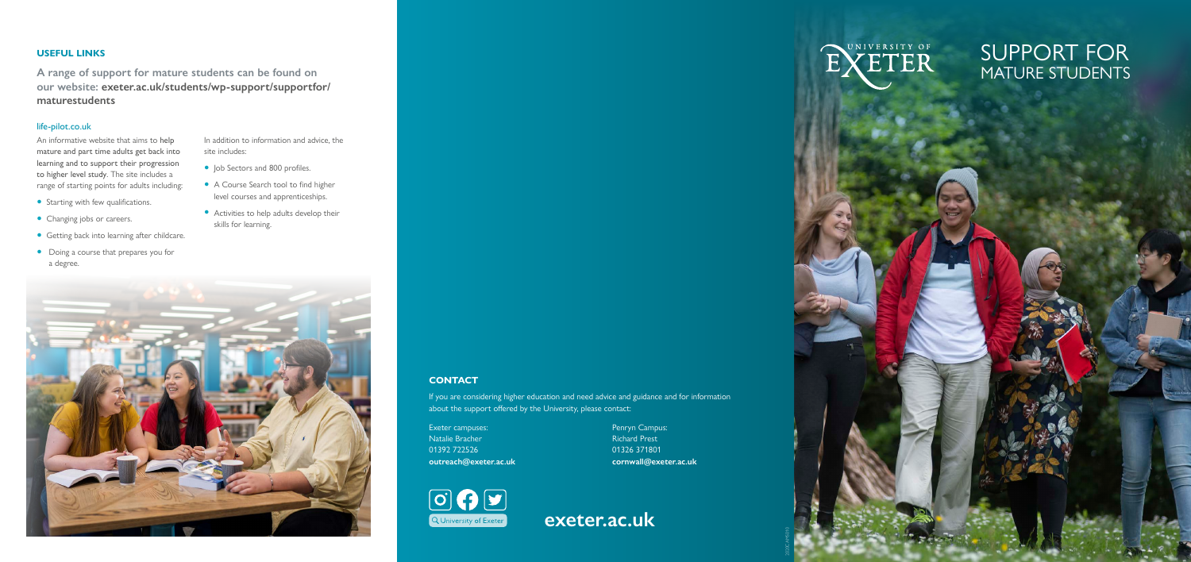2020CAMS010







## **CONTACT**

If you are considering higher education and need advice and guidance and for information about the support offered by the University, please contact:

Exeter campuses: Natalie Bracher 01392 722526 **[outreach@exeter.ac.uk](mailto:outreach@exeter.ac.uk)** Penryn Campus: Richard Prest 01326 371801 **[cornwall@exeter.ac.uk](mailto:cornwall@exeter.ac.uk)** SUPPORT FOR MATURE STUDENTS

## **USEFUL LINKS**

**A range of support for mature students can be found on our website: [exeter.ac.uk/students/wp-support/supportfor/](http://exeter.ac.uk/students/wp-support/supportfor/maturestudents) [maturestudents](http://exeter.ac.uk/students/wp-support/supportfor/maturestudents)**

## [life-pilot.co.uk](http://life-pilot.co.uk)

- Job Sectors and 800 profiles.
- A Course Search tool to find higher level courses and apprenticeships.
- Activities to help adults develop their skills for learning.



An informative website that aims to help mature and part time adults get back into learning and to support their progression to higher level study. The site includes a range of starting points for adults including:

- Starting with few qualifications.
- Changing jobs or careers.
- Getting back into learning after childcare.
- Doing a course that prepares you for a degree.

In addition to information and advice, the site includes: